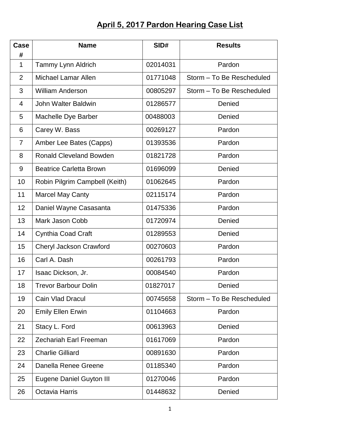## **April 5, 2017 Pardon Hearing Case List**

| Case<br>#        | <b>Name</b>                     | SID#     | <b>Results</b>            |
|------------------|---------------------------------|----------|---------------------------|
| $\mathbf 1$      | Tammy Lynn Aldrich              | 02014031 | Pardon                    |
| $\overline{2}$   | <b>Michael Lamar Allen</b>      | 01771048 | Storm - To Be Rescheduled |
| 3                | <b>William Anderson</b>         | 00805297 | Storm - To Be Rescheduled |
| $\overline{4}$   | John Walter Baldwin             | 01286577 | Denied                    |
| 5                | Machelle Dye Barber             | 00488003 | Denied                    |
| 6                | Carey W. Bass                   | 00269127 | Pardon                    |
| 7                | Amber Lee Bates (Capps)         | 01393536 | Pardon                    |
| 8                | <b>Ronald Cleveland Bowden</b>  | 01821728 | Pardon                    |
| $\boldsymbol{9}$ | <b>Beatrice Carletta Brown</b>  | 01696099 | Denied                    |
| 10               | Robin Pilgrim Campbell (Keith)  | 01062645 | Pardon                    |
| 11               | <b>Marcel May Canty</b>         | 02115174 | Pardon                    |
| 12               | Daniel Wayne Casasanta          | 01475336 | Pardon                    |
| 13               | Mark Jason Cobb                 | 01720974 | Denied                    |
| 14               | <b>Cynthia Coad Craft</b>       | 01289553 | Denied                    |
| 15               | Cheryl Jackson Crawford         | 00270603 | Pardon                    |
| 16               | Carl A. Dash                    | 00261793 | Pardon                    |
| 17               | Isaac Dickson, Jr.              | 00084540 | Pardon                    |
| 18               | <b>Trevor Barbour Dolin</b>     | 01827017 | Denied                    |
| 19               | Cain Vlad Dracul                | 00745658 | Storm - To Be Rescheduled |
| 20               | <b>Emily Ellen Erwin</b>        | 01104663 | Pardon                    |
| 21               | Stacy L. Ford                   | 00613963 | Denied                    |
| 22               | <b>Zechariah Earl Freeman</b>   | 01617069 | Pardon                    |
| 23               | <b>Charlie Gilliard</b>         | 00891630 | Pardon                    |
| 24               | Danella Renee Greene            | 01185340 | Pardon                    |
| 25               | <b>Eugene Daniel Guyton III</b> | 01270046 | Pardon                    |
| 26               | <b>Octavia Harris</b>           | 01448632 | Denied                    |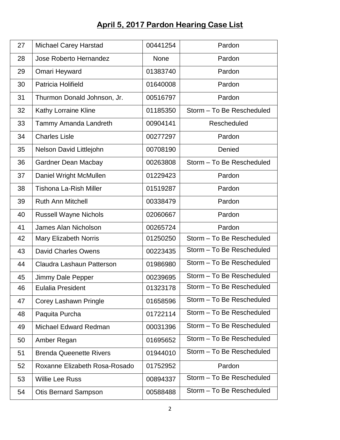## **April 5, 2017 Pardon Hearing Case List**

| 27 | <b>Michael Carey Harstad</b>   | 00441254    | Pardon                    |
|----|--------------------------------|-------------|---------------------------|
| 28 | Jose Roberto Hernandez         | <b>None</b> | Pardon                    |
| 29 | Omari Heyward                  | 01383740    | Pardon                    |
| 30 | Patricia Holifield             | 01640008    | Pardon                    |
| 31 | Thurmon Donald Johnson, Jr.    | 00516797    | Pardon                    |
| 32 | Kathy Lorraine Kline           | 01185350    | Storm - To Be Rescheduled |
| 33 | Tammy Amanda Landreth          | 00904141    | Rescheduled               |
| 34 | <b>Charles Lisle</b>           | 00277297    | Pardon                    |
| 35 | Nelson David Littlejohn        | 00708190    | Denied                    |
| 36 | <b>Gardner Dean Macbay</b>     | 00263808    | Storm - To Be Rescheduled |
| 37 | Daniel Wright McMullen         | 01229423    | Pardon                    |
| 38 | <b>Tishona La-Rish Miller</b>  | 01519287    | Pardon                    |
| 39 | <b>Ruth Ann Mitchell</b>       | 00338479    | Pardon                    |
| 40 | <b>Russell Wayne Nichols</b>   | 02060667    | Pardon                    |
| 41 | James Alan Nicholson           | 00265724    | Pardon                    |
| 42 | Mary Elizabeth Norris          | 01250250    | Storm - To Be Rescheduled |
| 43 | <b>David Charles Owens</b>     | 00223435    | Storm - To Be Rescheduled |
| 44 | Claudra Lashaun Patterson      | 01986980    | Storm - To Be Rescheduled |
| 45 | Jimmy Dale Pepper              | 00239695    | Storm - To Be Rescheduled |
| 46 | <b>Eulalia President</b>       | 01323178    | Storm – To Be Rescheduled |
| 47 | Corey Lashawn Pringle          | 01658596    | Storm - To Be Rescheduled |
| 48 | Paquita Purcha                 | 01722114    | Storm - To Be Rescheduled |
| 49 | Michael Edward Redman          | 00031396    | Storm - To Be Rescheduled |
| 50 | Amber Regan                    | 01695652    | Storm - To Be Rescheduled |
| 51 | <b>Brenda Queenette Rivers</b> | 01944010    | Storm - To Be Rescheduled |
| 52 | Roxanne Elizabeth Rosa-Rosado  | 01752952    | Pardon                    |
| 53 | <b>Willie Lee Russ</b>         | 00894337    | Storm - To Be Rescheduled |
| 54 | <b>Otis Bernard Sampson</b>    | 00588488    | Storm - To Be Rescheduled |